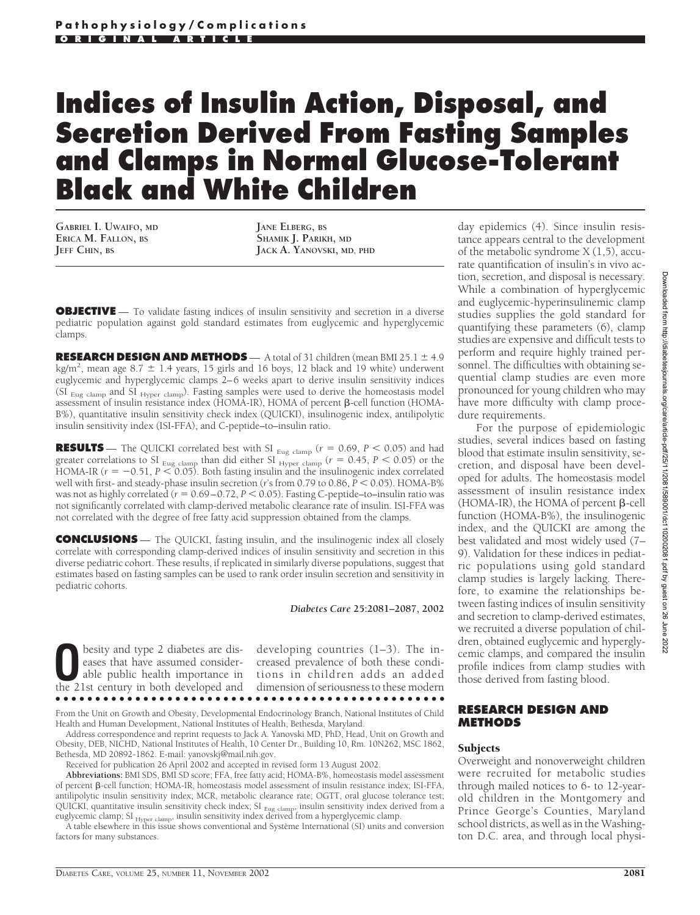# **Indices of Insulin Action, Disposal, and Secretion Derived From Fasting Samples and Clamps in Normal Glucose-Tolerant Black and White Children**

**GABRIEL I. UWAIFO, MD ERICA M. FALLON, BS JEFF CHIN, BS**

**JANE ELBERG, BS SHAMIK J. PARIKH, MD JACK A. YANOVSKI, MD, PHD**

**OBJECTIVE** — To validate fasting indices of insulin sensitivity and secretion in a diverse pediatric population against gold standard estimates from euglycemic and hyperglycemic clamps.

**RESEARCH DESIGN AND METHODS**  $- A$  total of 31 children (mean BMI 25.1  $\pm 4.9$ ) kg/m<sup>2</sup>, mean age 8.7  $\pm$  1.4 years, 15 girls and 16 boys, 12 black and 19 white) underwent euglycemic and hyperglycemic clamps 2–6 weeks apart to derive insulin sensitivity indices (SI Eug clamp and SI Hyper clamp). Fasting samples were used to derive the homeostasis model assessment of insulin resistance index (HOMA-IR), HOMA of percent  $\beta$ -cell function (HOMA-B%), quantitative insulin sensitivity check index (QUICKI), insulinogenic index, antilipolytic insulin sensitivity index (ISI-FFA), and C-peptide–to–insulin ratio.

**RESULTS** — The QUICKI correlated best with SI  $_{\text{Eug clamp}}$  ( $r = 0.69$ ,  $P < 0.05$ ) and had greater correlations to SI  $_{\text{Eug clamp}}$  than did either SI  $_{\text{Hyper clamp}}$  ( $r = 0.45, P < 0.05$ ) or the HOMA-IR ( $r = -0.51$ ,  $P \le 0.05$ ). Both fasting insulin and the insulinogenic index correlated well with first- and steady-phase insulin secretion (*r*'s from 0.79 to 0.86,  $P \le 0.05$ ). HOMA-B% was not as highly correlated ( $r = 0.69 - 0.72$ ,  $P < 0.05$ ). Fasting C-peptide–to–insulin ratio was not significantly correlated with clamp-derived metabolic clearance rate of insulin. ISI-FFA was not correlated with the degree of free fatty acid suppression obtained from the clamps.

**CONCLUSIONS** — The QUICKI, fasting insulin, and the insulinogenic index all closely correlate with corresponding clamp-derived indices of insulin sensitivity and secretion in this diverse pediatric cohort. These results, if replicated in similarly diverse populations, suggest that estimates based on fasting samples can be used to rank order insulin secretion and sensitivity in pediatric cohorts.

*Diabetes Care* **25:2081–2087, 2002**

**O**besity and type 2 diabetes are diseases that have assumed considerable public health importance in the 21st century in both developed and eases that have assumed considerthe 21st century in both developed and

developing countries (1–3). The increased prevalence of both these conditions in children adds an added dimension of seriousness to these modern

●●●●●●●●●●●●●●●●●●●●●●●●●●●●●●●●●●●●●●●●●●●●●●●●● From the Unit on Growth and Obesity, Developmental Endocrinology Branch, National Institutes of Child

Health and Human Development, National Institutes of Health, Bethesda, Maryland.

Address correspondence and reprint requests to Jack A. Yanovski MD, PhD, Head, Unit on Growth and Obesity, DEB, NICHD, National Institutes of Health, 10 Center Dr., Building 10, Rm. 10N262, MSC 1862, Bethesda, MD 20892-1862. E-mail: yanovskj@mail.nih.gov.

Received for publication 26 April 2002 and accepted in revised form 13 August 2002.

**Abbreviations:** BMI SDS, BMI SD score; FFA, free fatty acid; HOMA-B%, homeostasis model assessment of percent  $\beta$ -cell function; HOMA-IR, homeostasis model assessment of insulin resistance index; ISI-FFA, antilipolytic insulin sensitivity index; MCR, metabolic clearance rate; OGTT, oral glucose tolerance test; QUICKI, quantitative insulin sensitivity check index; SI <sub>Eug clamp</sub>, insulin sensitivity index derived from a euglycemic clamp; SI <sub>Hyper clamp</sub>, insulin sensitivity index derived from a hyperglycemic clamp.

A table elsewhere in this issue shows conventional and Système International (SI) units and conversion factors for many substances.

day epidemics (4). Since insulin resistance appears central to the development of the metabolic syndrome  $X(1,5)$ , accurate quantification of insulin's in vivo action, secretion, and disposal is necessary. While a combination of hyperglycemic and euglycemic-hyperinsulinemic clamp studies supplies the gold standard for quantifying these parameters (6), clamp studies are expensive and difficult tests to perform and require highly trained personnel. The difficulties with obtaining sequential clamp studies are even more pronounced for young children who may have more difficulty with clamp procedure requirements.

For the purpose of epidemiologic studies, several indices based on fasting blood that estimate insulin sensitivity, secretion, and disposal have been developed for adults. The homeostasis model assessment of insulin resistance index  $(HOMA-IR)$ , the HOMA of percent  $\beta$ -cell function (HOMA-B%), the insulinogenic index, and the QUICKI are among the best validated and most widely used (7– 9). Validation for these indices in pediatric populations using gold standard clamp studies is largely lacking. Therefore, to examine the relationships between fasting indices of insulin sensitivity and secretion to clamp-derived estimates, we recruited a diverse population of children, obtained euglycemic and hyperglycemic clamps, and compared the insulin profile indices from clamp studies with those derived from fasting blood.

#### **RESEARCH DESIGN AND METHODS**

## **Subjects**

Overweight and nonoverweight children were recruited for metabolic studies through mailed notices to 6- to 12-yearold children in the Montgomery and Prince George's Counties, Maryland school districts, as well as in the Washington D.C. area, and through local physi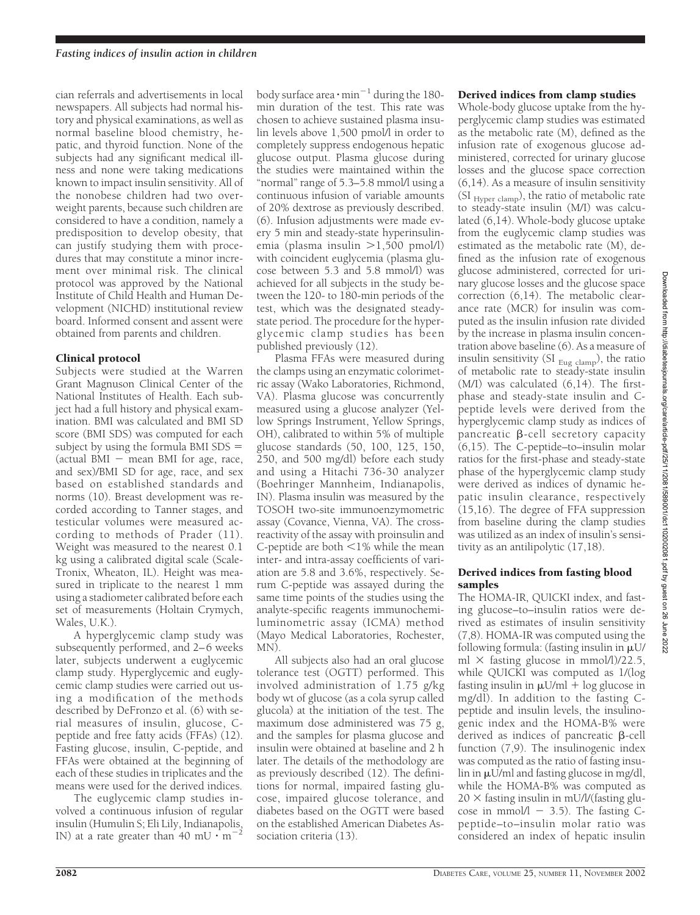cian referrals and advertisements in local newspapers. All subjects had normal history and physical examinations, as well as normal baseline blood chemistry, hepatic, and thyroid function. None of the subjects had any significant medical illness and none were taking medications known to impact insulin sensitivity. All of the nonobese children had two overweight parents, because such children are considered to have a condition, namely a predisposition to develop obesity, that can justify studying them with procedures that may constitute a minor increment over minimal risk. The clinical protocol was approved by the National Institute of Child Health and Human Development (NICHD) institutional review board. Informed consent and assent were obtained from parents and children.

### Clinical protocol

Subjects were studied at the Warren Grant Magnuson Clinical Center of the National Institutes of Health. Each subject had a full history and physical examination. BMI was calculated and BMI SD score (BMI SDS) was computed for each subject by using the formula BMI SDS (actual BMI  $-$  mean BMI for age, race, and sex)/BMI SD for age, race, and sex based on established standards and norms (10). Breast development was recorded according to Tanner stages, and testicular volumes were measured according to methods of Prader (11). Weight was measured to the nearest 0.1 kg using a calibrated digital scale (Scale-Tronix, Wheaton, IL). Height was measured in triplicate to the nearest 1 mm using a stadiometer calibrated before each set of measurements (Holtain Crymych, Wales, U.K.).

A hyperglycemic clamp study was subsequently performed, and 2–6 weeks later, subjects underwent a euglycemic clamp study. Hyperglycemic and euglycemic clamp studies were carried out using a modification of the methods described by DeFronzo et al. (6) with serial measures of insulin, glucose, Cpeptide and free fatty acids (FFAs) (12). Fasting glucose, insulin, C-peptide, and FFAs were obtained at the beginning of each of these studies in triplicates and the means were used for the derived indices.

The euglycemic clamp studies involved a continuous infusion of regular insulin (Humulin S; Eli Lily, Indianapolis, IN) at a rate greater than 40 mU  $\cdot$  m<sup>-2</sup>

body surface area  $\cdot$  min $^{-1}$  during the 180min duration of the test. This rate was chosen to achieve sustained plasma insulin levels above 1,500 pmol/l in order to completely suppress endogenous hepatic glucose output. Plasma glucose during the studies were maintained within the "normal" range of 5.3–5.8 mmol/l using a continuous infusion of variable amounts of 20% dextrose as previously described. (6). Infusion adjustments were made every 5 min and steady-state hyperinsulinemia (plasma insulin  $>1,500$  pmol/l) with coincident euglycemia (plasma glucose between 5.3 and 5.8 mmol/l) was achieved for all subjects in the study between the 120- to 180-min periods of the test, which was the designated steadystate period. The procedure for the hyperglycemic clamp studies has been published previously (12).

Plasma FFAs were measured during the clamps using an enzymatic colorimetric assay (Wako Laboratories, Richmond, VA). Plasma glucose was concurrently measured using a glucose analyzer (Yellow Springs Instrument, Yellow Springs, OH), calibrated to within 5% of multiple glucose standards (50, 100, 125, 150, 250, and 500 mg/dl) before each study and using a Hitachi 736-30 analyzer (Boehringer Mannheim, Indianapolis, IN). Plasma insulin was measured by the TOSOH two-site immunoenzymometric assay (Covance, Vienna, VA). The crossreactivity of the assay with proinsulin and C-peptide are both  $\leq 1\%$  while the mean inter- and intra-assay coefficients of variation are 5.8 and 3.6%, respectively. Serum C-peptide was assayed during the same time points of the studies using the analyte-specific reagents immunochemiluminometric assay (ICMA) method (Mayo Medical Laboratories, Rochester, MN).

All subjects also had an oral glucose tolerance test (OGTT) performed. This involved administration of 1.75 g/kg body wt of glucose (as a cola syrup called glucola) at the initiation of the test. The maximum dose administered was 75 g, and the samples for plasma glucose and insulin were obtained at baseline and 2 h later. The details of the methodology are as previously described (12). The definitions for normal, impaired fasting glucose, impaired glucose tolerance, and diabetes based on the OGTT were based on the established American Diabetes Association criteria (13).

## Derived indices from clamp studies

Whole-body glucose uptake from the hyperglycemic clamp studies was estimated as the metabolic rate (M), defined as the infusion rate of exogenous glucose administered, corrected for urinary glucose losses and the glucose space correction (6,14). As a measure of insulin sensitivity (SI <sub>Hyper clamp</sub>), the ratio of metabolic rate to steady-state insulin (M/I) was calculated (6,14). Whole-body glucose uptake from the euglycemic clamp studies was estimated as the metabolic rate (M), defined as the infusion rate of exogenous glucose administered, corrected for urinary glucose losses and the glucose space correction (6,14). The metabolic clearance rate (MCR) for insulin was computed as the insulin infusion rate divided by the increase in plasma insulin concentration above baseline (6). As a measure of insulin sensitivity (SI  $_{Eug \text{ clamp}}$ ), the ratio of metabolic rate to steady-state insulin (M/I) was calculated (6,14). The firstphase and steady-state insulin and Cpeptide levels were derived from the hyperglycemic clamp study as indices of  $p$ ancreatic  $\beta$ -cell secretory capacity  $(6,15)$ . The C-peptide–to–insulin molar ratios for the first-phase and steady-state phase of the hyperglycemic clamp study were derived as indices of dynamic hepatic insulin clearance, respectively (15,16). The degree of FFA suppression from baseline during the clamp studies was utilized as an index of insulin's sensitivity as an antilipolytic (17,18).

#### Derived indices from fasting blood samples

The HOMA-IR, QUICKI index, and fasting glucose–to–insulin ratios were derived as estimates of insulin sensitivity (7,8). HOMA-IR was computed using the following formula: (fasting insulin in  $\mu U$ / ml  $\times$  fasting glucose in mmol/l)/22.5, while QUICKI was computed as 1/(log fasting insulin in  $\mu$ U/ml + log glucose in mg/dl). In addition to the fasting Cpeptide and insulin levels, the insulinogenic index and the HOMA-B% were derived as indices of pancreatic  $\beta$ -cell function (7,9). The insulinogenic index was computed as the ratio of fasting insu- $\liminf \mu U/m$  and fasting glucose in mg/dl, while the HOMA-B% was computed as  $20 \times$  fasting insulin in mU/l/(fasting glucose in mmol $/1 - 3.5$ ). The fasting Cpeptide–to–insulin molar ratio was considered an index of hepatic insulin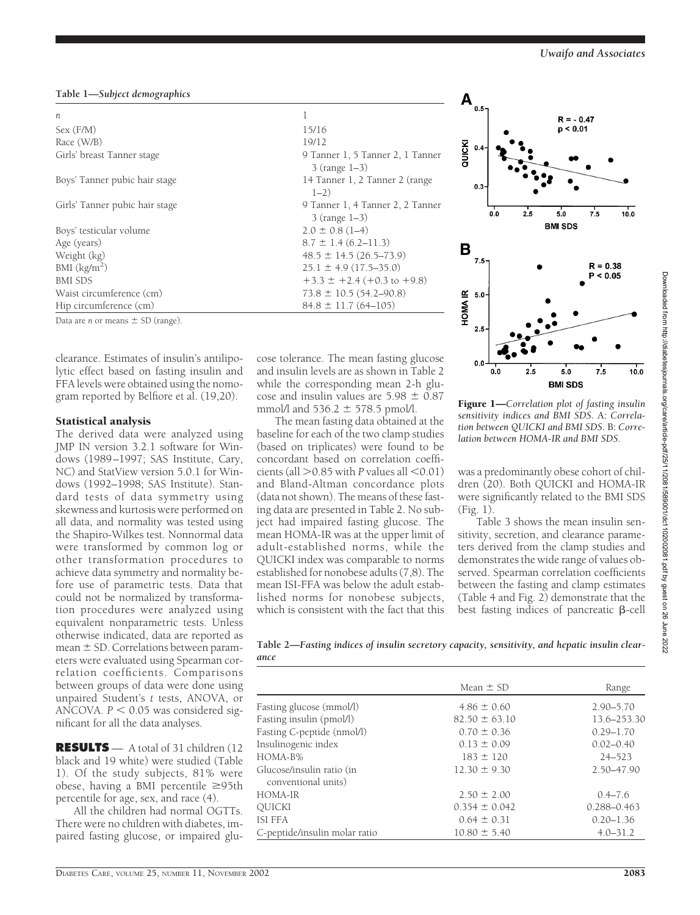## **Table 1—***Subject demographics*

| n                              | 1                                                      |  |  |
|--------------------------------|--------------------------------------------------------|--|--|
| Sex (F/M)                      | 15/16                                                  |  |  |
| Race (W/B)                     | 19/12                                                  |  |  |
| Girls' breast Tanner stage     | 9 Tanner 1, 5 Tanner 2, 1 Tanner<br>$3$ (range $1-3$ ) |  |  |
| Boys' Tanner pubic hair stage  | 14 Tanner 1, 2 Tanner 2 (range<br>$1 - 2)$             |  |  |
| Girls' Tanner pubic hair stage | 9 Tanner 1, 4 Tanner 2, 2 Tanner<br>$3$ (range $1-3$ ) |  |  |
| Boys' testicular volume        | $2.0 \pm 0.8$ (1-4)                                    |  |  |
| Age (years)                    | $8.7 \pm 1.4$ (6.2–11.3)                               |  |  |
| Weight (kg)                    | $48.5 \pm 14.5 (26.5 - 73.9)$                          |  |  |
| BMI (kg/m <sup>2</sup> )       | $25.1 \pm 4.9$ (17.5–35.0)                             |  |  |
| <b>BMI SDS</b>                 | $+3.3 \pm +2.4 (+0.3$ to $+9.8$ )                      |  |  |
| Waist circumference (cm)       | $73.8 \pm 10.5(54.2 - 90.8)$                           |  |  |
| Hip circumference (cm)         | $84.8 \pm 11.7(64 - 105)$                              |  |  |

Data are *n* or means  $\pm$  SD (range).

clearance. Estimates of insulin's antilipolytic effect based on fasting insulin and FFA levels were obtained using the nomogram reported by Belfiore et al. (19,20).

#### Statistical analysis

The derived data were analyzed using JMP IN version 3.2.1 software for Windows (1989–1997; SAS Institute, Cary, NC) and StatView version 5.0.1 for Windows (1992–1998; SAS Institute). Standard tests of data symmetry using skewness and kurtosis were performed on all data, and normality was tested using the Shapiro-Wilkes test. Nonnormal data were transformed by common log or other transformation procedures to achieve data symmetry and normality before use of parametric tests. Data that could not be normalized by transformation procedures were analyzed using equivalent nonparametric tests. Unless otherwise indicated, data are reported as mean  $\pm$  SD. Correlations between parameters were evaluated using Spearman correlation coefficients. Comparisons between groups of data were done using unpaired Student's *t* tests, ANOVA, or ANCOVA.  $P < 0.05$  was considered significant for all the data analyses.

**RESULTS** — A total of 31 children (12 black and 19 white) were studied (Table 1). Of the study subjects, 81% were obese, having a BMI percentile  $\geq 95$ th percentile for age, sex, and race (4).

All the children had normal OGTTs. There were no children with diabetes, impaired fasting glucose, or impaired glu-

cose tolerance. The mean fasting glucose and insulin levels are as shown in Table 2 while the corresponding mean 2-h glucose and insulin values are  $5.98 \pm 0.87$ mmol/l and  $536.2 \pm 578.5$  pmol/l.

The mean fasting data obtained at the baseline for each of the two clamp studies (based on triplicates) were found to be concordant based on correlation coefficients (all  $> 0.85$  with *P* values all  $< 0.01$ ) and Bland-Altman concordance plots (data not shown). The means of these fasting data are presented in Table 2. No subject had impaired fasting glucose. The mean HOMA-IR was at the upper limit of adult-established norms, while the QUICKI index was comparable to norms established for nonobese adults (7,8). The mean ISI-FFA was below the adult established norms for nonobese subjects, which is consistent with the fact that this



Figure 1—*Correlation plot of fasting insulin sensitivity indices and BMI SDS.* A: *Correlation between QUICKI and BMI SDS*. B: *Correlation between HOMA-IR and BMI SDS.*

was a predominantly obese cohort of children (20). Both QUICKI and HOMA-IR were significantly related to the BMI SDS (Fig. 1).

Table 3 shows the mean insulin sensitivity, secretion, and clearance parameters derived from the clamp studies and demonstrates the wide range of values observed. Spearman correlation coefficients between the fasting and clamp estimates (Table 4 and Fig. 2) demonstrate that the best fasting indices of pancreatic  $\beta$ -cell

**Table 2—***Fasting indices of insulin secretory capacity, sensitivity, and hepatic insulin clearance*

|                                                  | Mean $\pm$ SD     | Range           |
|--------------------------------------------------|-------------------|-----------------|
| Fasting glucose (mmol/l)                         | $4.86 \pm 0.60$   | $2.90 - 5.70$   |
| Fasting insulin (pmol/l)                         | $82.50 \pm 63.10$ | 13.6-253.30     |
| Fasting C-peptide (nmol/l)                       | $0.70 \pm 0.36$   | $0.29 - 1.70$   |
| Insulinogenic index                              | $0.13 \pm 0.09$   | $0.02 - 0.40$   |
| HOMA-B%                                          | $183 \pm 120$     | $24 - 523$      |
| Glucose/insulin ratio (in<br>conventional units) | $12.30 \pm 9.30$  | $2.50 - 47.90$  |
| HOMA-IR                                          | $2.50 \pm 2.00$   | $0.4 - 7.6$     |
| <b>OUICKI</b>                                    | $0.354 \pm 0.042$ | $0.288 - 0.463$ |
| ISI FFA                                          | $0.64 \pm 0.31$   | $0.20 - 1.36$   |
| C-peptide/insulin molar ratio                    | $10.80 \pm 5.40$  | $4.0 - 31.2$    |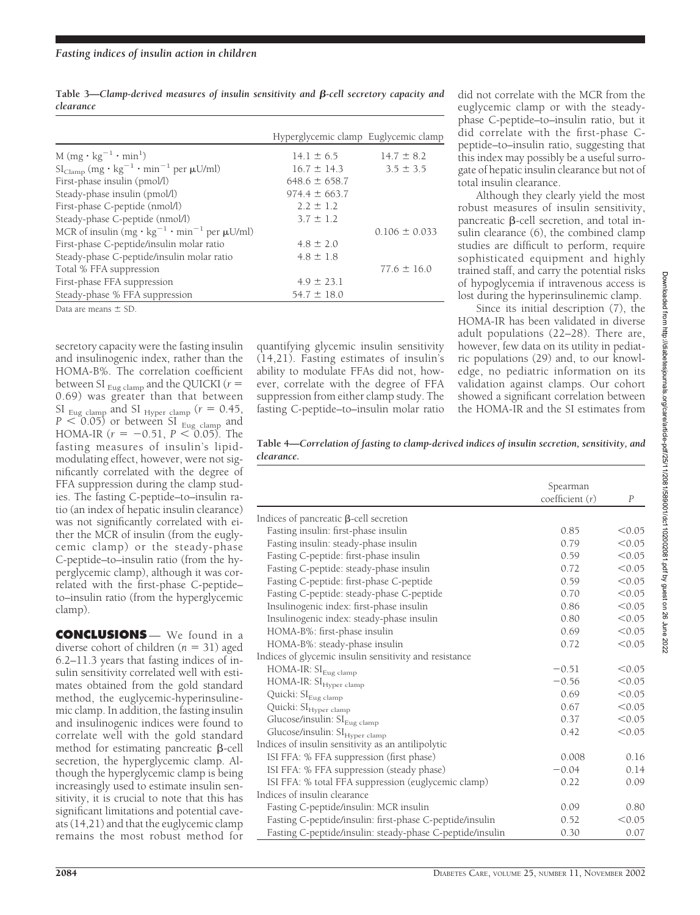Table 3—*Clamp-derived measures of insulin sensitivity and B-cell secretory capacity and clearance*

|                                                                                                       | Hyperglycemic clamp Euglycemic clamp |                   |
|-------------------------------------------------------------------------------------------------------|--------------------------------------|-------------------|
|                                                                                                       |                                      |                   |
| $M(mg \cdot kg^{-1} \cdot min^{1})$                                                                   | $14.1 \pm 6.5$                       | $14.7 \pm 8.2$    |
| $\mathrm{SI}_{\mathrm{Clamp}}$ (mg $\cdot$ kg <sup>-1</sup> $\cdot$ min <sup>-1</sup> per $\mu$ U/ml) | $16.7 \pm 14.3$                      | $3.5 \pm 3.5$     |
| First-phase insulin (pmol/l)                                                                          | $648.6 \pm 658.7$                    |                   |
| Steady-phase insulin (pmol/l)                                                                         | $974.4 \pm 663.7$                    |                   |
| First-phase C-peptide (nmol/l)                                                                        | $2.2 \pm 1.2$                        |                   |
| Steady-phase C-peptide (nmol/l)                                                                       | $3.7 \pm 1.2$                        |                   |
| MCR of insulin $(mg \cdot kg^{-1} \cdot min^{-1}$ per $\mu U/ml$ )                                    |                                      | $0.106 \pm 0.033$ |
| First-phase C-peptide/insulin molar ratio                                                             | $4.8 \pm 2.0$                        |                   |
| Steady-phase C-peptide/insulin molar ratio                                                            | $4.8 \pm 1.8$                        |                   |
| Total % FFA suppression                                                                               |                                      | $77.6 \pm 16.0$   |
| First-phase FFA suppression                                                                           | $4.9 \pm 23.1$                       |                   |
| Steady-phase % FFA suppression                                                                        | $54.7 \pm 18.0$                      |                   |

Data are means  $\pm$  SD.

secretory capacity were the fasting insulin and insulinogenic index, rather than the HOMA-B%. The correlation coefficient between SI  $_{\text{Eug clamp}}$  and the QUICKI ( $r =$ 0.69) was greater than that between  $\frac{SI}{Eug}$  clamp and SI <sub>Hyper clamp</sub> ( $r = 0.45$ ,  $P < 0.05$ ) or between SI  $_{\text{Eug}$  clamp and HOMA-IR  $(r = -0.51, P \leq 0.05)$ . The fasting measures of insulin's lipidmodulating effect, however, were not significantly correlated with the degree of FFA suppression during the clamp studies. The fasting C-peptide–to–insulin ratio (an index of hepatic insulin clearance) was not significantly correlated with either the MCR of insulin (from the euglycemic clamp) or the steady-phase C-peptide–to–insulin ratio (from the hyperglycemic clamp), although it was correlated with the first-phase C-peptide– to–insulin ratio (from the hyperglycemic clamp).

**CONCLUSIONS** — We found in a diverse cohort of children  $(n = 31)$  aged 6.2–11.3 years that fasting indices of insulin sensitivity correlated well with estimates obtained from the gold standard method, the euglycemic-hyperinsulinemic clamp. In addition, the fasting insulin and insulinogenic indices were found to correlate well with the gold standard method for estimating pancreatic  $\beta$ -cell secretion, the hyperglycemic clamp. Although the hyperglycemic clamp is being increasingly used to estimate insulin sensitivity, it is crucial to note that this has significant limitations and potential caveats (14,21) and that the euglycemic clamp remains the most robust method for

quantifying glycemic insulin sensitivity (14,21). Fasting estimates of insulin's ability to modulate FFAs did not, however, correlate with the degree of FFA suppression from either clamp study. The fasting C-peptide–to–insulin molar ratio

did not correlate with the MCR from the euglycemic clamp or with the steadyphase C-peptide–to–insulin ratio, but it did correlate with the first-phase Cpeptide–to–insulin ratio, suggesting that this index may possibly be a useful surrogate of hepatic insulin clearance but not of total insulin clearance.

Although they clearly yield the most robust measures of insulin sensitivity, pancreatic  $\beta$ -cell secretion, and total insulin clearance (6), the combined clamp studies are difficult to perform, require sophisticated equipment and highly trained staff, and carry the potential risks of hypoglycemia if intravenous access is lost during the hyperinsulinemic clamp.

Since its initial description (7), the HOMA-IR has been validated in diverse adult populations (22–28). There are, however, few data on its utility in pediatric populations (29) and, to our knowledge, no pediatric information on its validation against clamps. Our cohort showed a significant correlation between the HOMA-IR and the SI estimates from

**Table 4—***Correlation of fasting to clamp-derived indices of insulin secretion, sensitivity, and clearance.*

|                                                           | Spearman          |                  |
|-----------------------------------------------------------|-------------------|------------------|
|                                                           | coefficient $(r)$ | $\boldsymbol{P}$ |
| Indices of pancreatic $\beta$ -cell secretion             |                   |                  |
| Fasting insulin: first-phase insulin                      | 0.85              | < 0.05           |
| Fasting insulin: steady-phase insulin                     | 0.79              | < 0.05           |
| Fasting C-peptide: first-phase insulin                    | 0.59              | < 0.05           |
| Fasting C-peptide: steady-phase insulin                   | 0.72              | < 0.05           |
| Fasting C-peptide: first-phase C-peptide                  | 0.59              | < 0.05           |
| Fasting C-peptide: steady-phase C-peptide                 | 0.70              | < 0.05           |
| Insulinogenic index: first-phase insulin                  | 0.86              | < 0.05           |
| Insulinogenic index: steady-phase insulin                 | 0.80              | < 0.05           |
| HOMA-B%: first-phase insulin                              | 0.69              | < 0.05           |
| HOMA-B%: steady-phase insulin                             | 0.72              | < 0.05           |
| Indices of glycemic insulin sensitivity and resistance    |                   |                  |
| HOMA-IR: $\mathrm{SI}_\mathrm{Eug\ clamp}$                | $-0.51$           | < 0.05           |
| HOMA-IR: SI <sub>Hyper clamp</sub>                        | $-0.56$           | < 0.05           |
| Quicki: SI <sub>Eug clamp</sub>                           | 0.69              | < 0.05           |
| Quicki: SI <sub>Hyper clamp</sub>                         | 0.67              | < 0.05           |
| Glucose/insulin: SI <sub>Eug clamp</sub>                  | 0.37              | < 0.05           |
| Glucose/insulin: SI <sub>Hyper clamp</sub>                | 0.42              | < 0.05           |
| Indices of insulin sensitivity as an antilipolytic        |                   |                  |
| ISI FFA: % FFA suppression (first phase)                  | 0.008             | 0.16             |
| ISI FFA: % FFA suppression (steady phase)                 | $-0.04$           | 0.14             |
| ISI FFA: % total FFA suppression (euglycemic clamp)       | 0.22              | 0.09             |
| Indices of insulin clearance                              |                   |                  |
| Fasting C-peptide/insulin: MCR insulin                    | 0.09              | 0.80             |
| Fasting C-peptide/insulin: first-phase C-peptide/insulin  | 0.52              | < 0.05           |
| Fasting C-peptide/insulin: steady-phase C-peptide/insulin | 0.30              | 0.07             |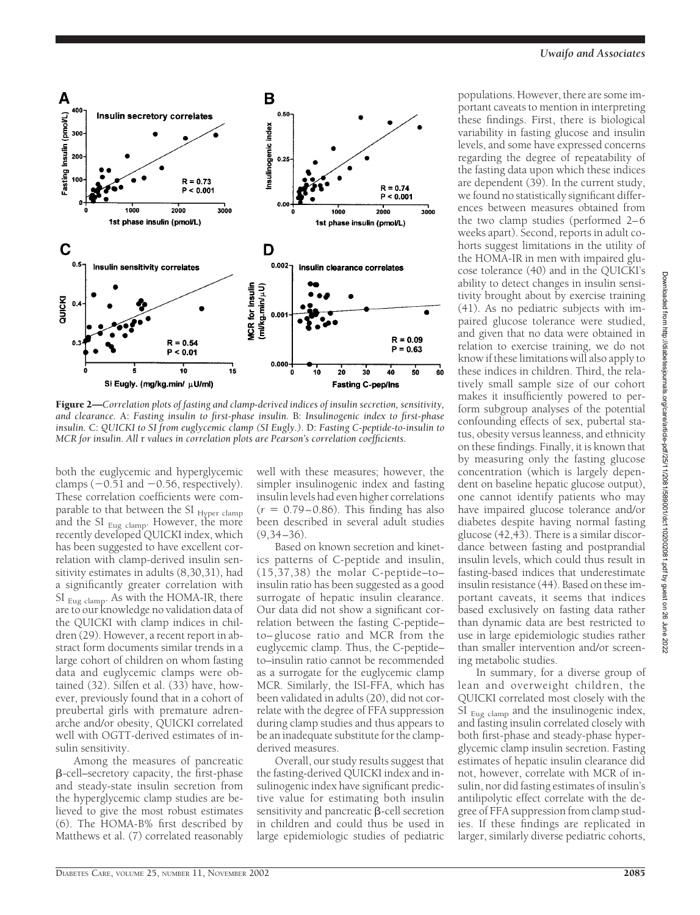

Figure 2—*Correlation plots of fasting and clamp-derived indices of insulin secretion, sensitivity, and clearance.* A: *Fasting insulin to first-phase insulin.* B: *Insulinogenic index to first-phase insulin.* C: *QUICKI to SI from euglycemic clamp (SI Eugly.).* D: *Fasting C-peptide-to-insulin to MCR for insulin. All* r *values in correlation plots are Pearson's correlation coefficients.*

both the euglycemic and hyperglycemic clamps  $(-0.51$  and  $-0.56$ , respectively). These correlation coefficients were comparable to that between the SI Hyper clamp and the SI  $_{\text{Eug clamp}}$ . However, the more recently developed QUICKI index, which has been suggested to have excellent correlation with clamp-derived insulin sensitivity estimates in adults (8,30,31), had a significantly greater correlation with SI Eug clamp. As with the HOMA-IR, there are to our knowledge no validation data of the QUICKI with clamp indices in children (29). However, a recent report in abstract form documents similar trends in a large cohort of children on whom fasting data and euglycemic clamps were obtained (32). Silfen et al. (33) have, however, previously found that in a cohort of preubertal girls with premature adrenarche and/or obesity, QUICKI correlated well with OGTT-derived estimates of insulin sensitivity.

Among the measures of pancreatic --cell–secretory capacity, the first-phase and steady-state insulin secretion from the hyperglycemic clamp studies are believed to give the most robust estimates (6). The HOMA-B% first described by Matthews et al. (7) correlated reasonably

well with these measures; however, the simpler insulinogenic index and fasting insulin levels had even higher correlations  $(r = 0.79 - 0.86)$ . This finding has also been described in several adult studies  $(9.34 - 36)$ .

Based on known secretion and kinetics patterns of C-peptide and insulin, (15,37,38) the molar C-peptide–to– insulin ratio has been suggested as a good surrogate of hepatic insulin clearance. Our data did not show a significant correlation between the fasting C-peptide– to– glucose ratio and MCR from the euglycemic clamp. Thus, the C-peptide– to–insulin ratio cannot be recommended as a surrogate for the euglycemic clamp MCR. Similarly, the ISI-FFA, which has been validated in adults (20), did not correlate with the degree of FFA suppression during clamp studies and thus appears to be an inadequate substitute for the clampderived measures.

Overall, our study results suggest that the fasting-derived QUICKI index and insulinogenic index have significant predictive value for estimating both insulin sensitivity and pancreatic  $\beta$ -cell secretion in children and could thus be used in large epidemiologic studies of pediatric

populations. However, there are some important caveats to mention in interpreting these findings. First, there is biological variability in fasting glucose and insulin levels, and some have expressed concerns regarding the degree of repeatability of the fasting data upon which these indices are dependent (39). In the current study, we found no statistically significant differences between measures obtained from the two clamp studies (performed 2–6 weeks apart). Second, reports in adult cohorts suggest limitations in the utility of the HOMA-IR in men with impaired glucose tolerance (40) and in the QUICKI's ability to detect changes in insulin sensitivity brought about by exercise training (41). As no pediatric subjects with impaired glucose tolerance were studied, and given that no data were obtained in relation to exercise training, we do not know if these limitations will also apply to these indices in children. Third, the relatively small sample size of our cohort makes it insufficiently powered to perform subgroup analyses of the potential confounding effects of sex, pubertal status, obesity versus leanness, and ethnicity on these findings. Finally, it is known that by measuring only the fasting glucose concentration (which is largely dependent on baseline hepatic glucose output), one cannot identify patients who may have impaired glucose tolerance and/or diabetes despite having normal fasting glucose (42,43). There is a similar discordance between fasting and postprandial insulin levels, which could thus result in fasting-based indices that underestimate insulin resistance (44). Based on these important caveats, it seems that indices based exclusively on fasting data rather than dynamic data are best restricted to use in large epidemiologic studies rather than smaller intervention and/or screening metabolic studies.

In summary, for a diverse group of lean and overweight children, the QUICKI correlated most closely with the SI  $_{Eug$  clamp and the insulinogenic index, and fasting insulin correlated closely with both first-phase and steady-phase hyperglycemic clamp insulin secretion. Fasting estimates of hepatic insulin clearance did not, however, correlate with MCR of insulin, nor did fasting estimates of insulin's antilipolytic effect correlate with the degree of FFA suppression from clamp studies. If these findings are replicated in larger, similarly diverse pediatric cohorts,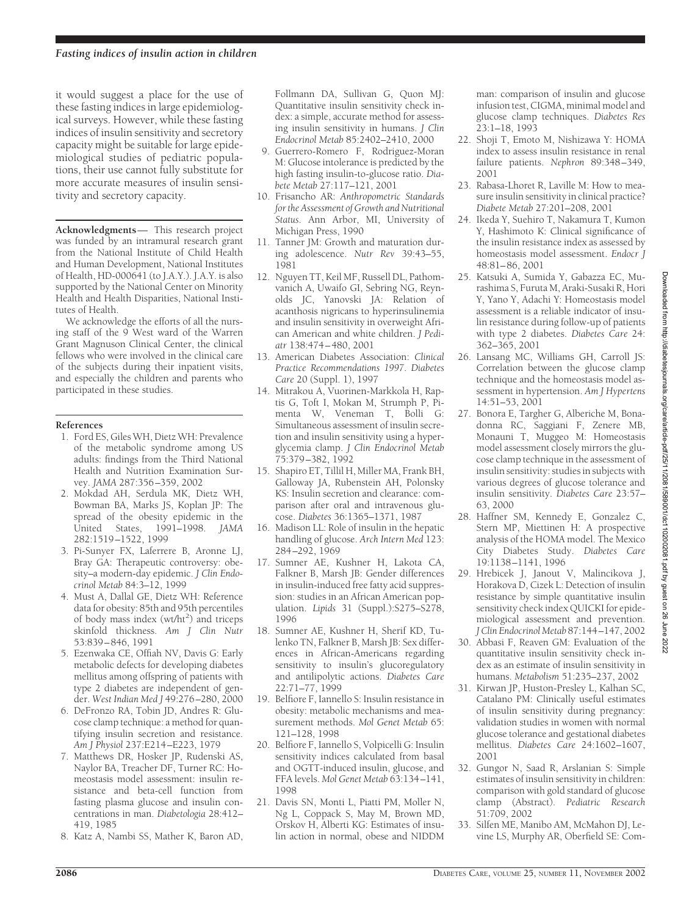it would suggest a place for the use of these fasting indices in large epidemiological surveys. However, while these fasting indices of insulin sensitivity and secretory capacity might be suitable for large epidemiological studies of pediatric populations, their use cannot fully substitute for more accurate measures of insulin sensitivity and secretory capacity.

**Acknowledgments**— This research project was funded by an intramural research grant from the National Institute of Child Health and Human Development, National Institutes of Health, HD-000641 (to J.A.Y.). J.A.Y. is also supported by the National Center on Minority Health and Health Disparities, National Institutes of Health.

We acknowledge the efforts of all the nursing staff of the 9 West ward of the Warren Grant Magnuson Clinical Center, the clinical fellows who were involved in the clinical care of the subjects during their inpatient visits, and especially the children and parents who participated in these studies.

#### **References**

- 1. Ford ES, Giles WH, Dietz WH: Prevalence of the metabolic syndrome among US adults: findings from the Third National Health and Nutrition Examination Survey. *JAMA* 287:356–359, 2002
- 2. Mokdad AH, Serdula MK, Dietz WH, Bowman BA, Marks JS, Koplan JP: The spread of the obesity epidemic in the United States, 1991–1998. *JAMA* 282:1519–1522, 1999
- 3. Pi-Sunyer FX, Laferrere B, Aronne LJ, Bray GA: Therapeutic controversy: obesity–a modern-day epidemic. *J Clin Endocrinol Metab* 84:3–12, 1999
- 4. Must A, Dallal GE, Dietz WH: Reference data for obesity: 85th and 95th percentiles of body mass index (wt/ht<sup>2</sup>) and triceps skinfold thickness. *Am J Clin Nutr* 53:839–846, 1991
- 5. Ezenwaka CE, Offiah NV, Davis G: Early metabolic defects for developing diabetes mellitus among offspring of patients with type 2 diabetes are independent of gender. *West Indian Med J* 49:276–280, 2000
- 6. DeFronzo RA, Tobin JD, Andres R: Glucose clamp technique: a method for quantifying insulin secretion and resistance. *Am J Physiol* 237:E214–E223, 1979
- 7. Matthews DR, Hosker JP, Rudenski AS, Naylor BA, Treacher DF, Turner RC: Homeostasis model assessment: insulin resistance and beta-cell function from fasting plasma glucose and insulin concentrations in man. *Diabetologia* 28:412– 419, 1985
- 8. Katz A, Nambi SS, Mather K, Baron AD,

Follmann DA, Sullivan G, Quon MJ: Quantitative insulin sensitivity check index: a simple, accurate method for assessing insulin sensitivity in humans. *J Clin Endocrinol Metab* 85:2402–2410, 2000

- 9. Guerrero-Romero F, Rodriguez-Moran M: Glucose intolerance is predicted by the high fasting insulin-to-glucose ratio. *Diabete Metab* 27:117–121, 2001
- 10. Frisancho AR: *Anthropometric Standards for the Assessment of Growth and Nutritional Status*. Ann Arbor, MI, University of Michigan Press, 1990
- 11. Tanner JM: Growth and maturation during adolescence. *Nutr Rev* 39:43–55, 1981
- 12. Nguyen TT, Keil MF, Russell DL, Pathomvanich A, Uwaifo GI, Sebring NG, Reynolds JC, Yanovski JA: Relation of acanthosis nigricans to hyperinsulinemia and insulin sensitivity in overweight African American and white children. *J Pediatr* 138:474–480, 2001
- 13. American Diabetes Association: *Clinical Practice Recommendations 1997*. *Diabetes Care* 20 (Suppl. 1), 1997
- 14. Mitrakou A, Vuorinen-Markkola H, Raptis G, Toft I, Mokan M, Strumph P, Pimenta W, Veneman T, Bolli G: Simultaneous assessment of insulin secretion and insulin sensitivity using a hyperglycemia clamp. *J Clin Endocrinol Metab* 75:379–382, 1992
- 15. Shapiro ET, Tillil H, Miller MA, Frank BH, Galloway JA, Rubenstein AH, Polonsky KS: Insulin secretion and clearance: comparison after oral and intravenous glucose. *Diabetes* 36:1365–1371, 1987
- 16. Madison LL: Role of insulin in the hepatic handling of glucose. *Arch Intern Med* 123: 284–292, 1969
- 17. Sumner AE, Kushner H, Lakota CA, Falkner B, Marsh JB: Gender differences in insulin-induced free fatty acid suppression: studies in an African American population. *Lipids* 31 (Suppl.):S275–S278, 1996
- 18. Sumner AE, Kushner H, Sherif KD, Tulenko TN, Falkner B, Marsh JB: Sex differences in African-Americans regarding sensitivity to insulin's glucoregulatory and antilipolytic actions. *Diabetes Care* 22:71–77, 1999
- 19. Belfiore F, Iannello S: Insulin resistance in obesity: metabolic mechanisms and measurement methods. *Mol Genet Metab* 65: 121–128, 1998
- 20. Belfiore F, Iannello S, Volpicelli G: Insulin sensitivity indices calculated from basal and OGTT-induced insulin, glucose, and FFA levels. *Mol Genet Metab* 63:134–141, 1998
- 21. Davis SN, Monti L, Piatti PM, Moller N, Ng L, Coppack S, May M, Brown MD, Orskov H, Alberti KG: Estimates of insulin action in normal, obese and NIDDM

man: comparison of insulin and glucose infusion test, CIGMA, minimal model and glucose clamp techniques. *Diabetes Res* 23:1–18, 1993

- 22. Shoji T, Emoto M, Nishizawa Y: HOMA index to assess insulin resistance in renal failure patients. *Nephron* 89:348–349, 2001
- 23. Rabasa-Lhoret R, Laville M: How to measure insulin sensitivity in clinical practice? *Diabete Metab* 27:201–208, 2001
- 24. Ikeda Y, Suehiro T, Nakamura T, Kumon Y, Hashimoto K: Clinical significance of the insulin resistance index as assessed by homeostasis model assessment. *Endocr J* 48:81–86, 2001
- 25. Katsuki A, Sumida Y, Gabazza EC, Murashima S, Furuta M, Araki-Susaki R, Hori Y, Yano Y, Adachi Y: Homeostasis model assessment is a reliable indicator of insulin resistance during follow-up of patients with type 2 diabetes. *Diabetes Care* 24: 362–365, 2001
- 26. Lansang MC, Williams GH, Carroll JS: Correlation between the glucose clamp technique and the homeostasis model assessment in hypertension. *Am J Hypertens* 14:51–53, 2001
- 27. Bonora E, Targher G, Alberiche M, Bonadonna RC, Saggiani F, Zenere MB, Monauni T, Muggeo M: Homeostasis model assessment closely mirrors the glucose clamp technique in the assessment of insulin sensitivity: studies in subjects with various degrees of glucose tolerance and insulin sensitivity. *Diabetes Care* 23:57– 63, 2000
- 28. Haffner SM, Kennedy E, Gonzalez C, Stern MP, Miettinen H: A prospective analysis of the HOMA model. The Mexico City Diabetes Study. *Diabetes Care* 19:1138–1141, 1996
- 29. Hrebicek J, Janout V, Malincikova J, Horakova D, Cizek L: Detection of insulin resistance by simple quantitative insulin sensitivity check index QUICKI for epidemiological assessment and prevention. *J Clin Endocrinol Metab* 87:144–147, 2002
- 30. Abbasi F, Reaven GM: Evaluation of the quantitative insulin sensitivity check index as an estimate of insulin sensitivity in humans. *Metabolism* 51:235–237, 2002
- 31. Kirwan JP, Huston-Presley L, Kalhan SC, Catalano PM: Clinically useful estimates of insulin sensitivity during pregnancy: validation studies in women with normal glucose tolerance and gestational diabetes mellitus. *Diabetes Care* 24:1602–1607, 2001
- 32. Gungor N, Saad R, Arslanian S: Simple estimates of insulin sensitivity in children: comparison with gold standard of glucose clamp (Abstract). *Pediatric Research* 51:709, 2002
- 33. Silfen ME, Manibo AM, McMahon DJ, Levine LS, Murphy AR, Oberfield SE: Com-